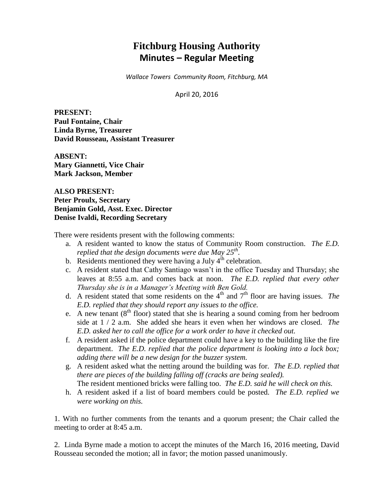# **Fitchburg Housing Authority Minutes – Regular Meeting**

*Wallace Towers Community Room, Fitchburg, MA*

April 20, 2016

**PRESENT: Paul Fontaine, Chair Linda Byrne, Treasurer David Rousseau, Assistant Treasurer**

**ABSENT: Mary Giannetti, Vice Chair Mark Jackson, Member**

**ALSO PRESENT: Peter Proulx, Secretary Benjamin Gold, Asst. Exec. Director Denise Ivaldi, Recording Secretary**

There were residents present with the following comments:

- a. A resident wanted to know the status of Community Room construction. *The E.D. replied that the design documents were due May 25th .*
- b. Residents mentioned they were having a July  $4<sup>th</sup>$  celebration.
- c. A resident stated that Cathy Santiago wasn't in the office Tuesday and Thursday; she leaves at 8:55 a.m. and comes back at noon. *The E.D. replied that every other Thursday she is in a Manager's Meeting with Ben Gold.*
- d. A resident stated that some residents on the  $4<sup>th</sup>$  and  $7<sup>th</sup>$  floor are having issues. *The E.D. replied that they should report any issues to the office.*
- e. A new tenant  $(8<sup>th</sup>$  floor) stated that she is hearing a sound coming from her bedroom side at 1 / 2 a.m. She added she hears it even when her windows are closed. *The E.D. asked her to call the office for a work order to have it checked out.*
- f. A resident asked if the police department could have a key to the building like the fire department. *The E.D. replied that the police department is looking into a lock box; adding there will be a new design for the buzzer system.*
- g. A resident asked what the netting around the building was for. *The E.D. replied that there are pieces of the building falling off (cracks are being sealed).*  The resident mentioned bricks were falling too. *The E.D. said he will check on this.*
- h. A resident asked if a list of board members could be posted. *The E.D. replied we were working on this.*

1. With no further comments from the tenants and a quorum present; the Chair called the meeting to order at 8:45 a.m.

2. Linda Byrne made a motion to accept the minutes of the March 16, 2016 meeting, David Rousseau seconded the motion; all in favor; the motion passed unanimously.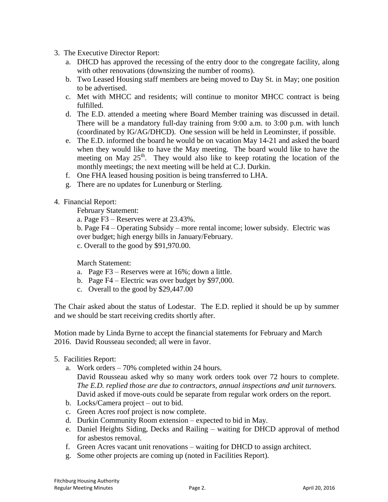- 3. The Executive Director Report:
	- a. DHCD has approved the recessing of the entry door to the congregate facility, along with other renovations (downsizing the number of rooms).
	- b. Two Leased Housing staff members are being moved to Day St. in May; one position to be advertised.
	- c. Met with MHCC and residents; will continue to monitor MHCC contract is being fulfilled.
	- d. The E.D. attended a meeting where Board Member training was discussed in detail. There will be a mandatory full-day training from 9:00 a.m. to 3:00 p.m. with lunch (coordinated by IG/AG/DHCD). One session will be held in Leominster, if possible.
	- e. The E.D. informed the board he would be on vacation May 14-21 and asked the board when they would like to have the May meeting. The board would like to have the meeting on May  $25<sup>th</sup>$ . They would also like to keep rotating the location of the monthly meetings; the next meeting will be held at C.J. Durkin.
	- f. One FHA leased housing position is being transferred to LHA.
	- g. There are no updates for Lunenburg or Sterling.
- 4. Financial Report:

February Statement:

- a. Page F3 Reserves were at 23.43%.
- b. Page F4 Operating Subsidy more rental income; lower subsidy. Electric was over budget; high energy bills in January/February.
- c. Overall to the good by \$91,970.00.

March Statement:

- a. Page F3 Reserves were at 16%; down a little.
- b. Page F4 Electric was over budget by \$97,000.
- c. Overall to the good by \$29,447.00

The Chair asked about the status of Lodestar. The E.D. replied it should be up by summer and we should be start receiving credits shortly after.

Motion made by Linda Byrne to accept the financial statements for February and March 2016. David Rousseau seconded; all were in favor.

- 5. Facilities Report:
	- a. Work orders 70% completed within 24 hours. David Rousseau asked why so many work orders took over 72 hours to complete. *The E.D. replied those are due to contractors, annual inspections and unit turnovers.* David asked if move-outs could be separate from regular work orders on the report.
	- b. Locks/Camera project out to bid.
	- c. Green Acres roof project is now complete.
	- d. Durkin Community Room extension expected to bid in May.
	- e. Daniel Heights Siding, Decks and Railing waiting for DHCD approval of method for asbestos removal.
	- f. Green Acres vacant unit renovations waiting for DHCD to assign architect.
	- g. Some other projects are coming up (noted in Facilities Report).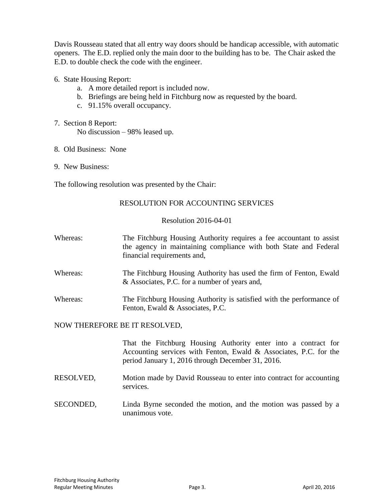Davis Rousseau stated that all entry way doors should be handicap accessible, with automatic openers. The E.D. replied only the main door to the building has to be. The Chair asked the E.D. to double check the code with the engineer.

- 6. State Housing Report:
	- a. A more detailed report is included now.
	- b. Briefings are being held in Fitchburg now as requested by the board.
	- c. 91.15% overall occupancy.
- 7. Section 8 Report: No discussion – 98% leased up.
- 8. Old Business: None
- 9. New Business:

The following resolution was presented by the Chair:

#### RESOLUTION FOR ACCOUNTING SERVICES

#### Resolution 2016-04-01

- Whereas: The Fitchburg Housing Authority requires a fee accountant to assist the agency in maintaining compliance with both State and Federal financial requirements and,
- Whereas: The Fitchburg Housing Authority has used the firm of Fenton, Ewald & Associates, P.C. for a number of years and,
- Whereas: The Fitchburg Housing Authority is satisfied with the performance of Fenton, Ewald & Associates, P.C.

# NOW THEREFORE BE IT RESOLVED,

That the Fitchburg Housing Authority enter into a contract for Accounting services with Fenton, Ewald & Associates, P.C. for the period January 1, 2016 through December 31, 2016.

- RESOLVED, Motion made by David Rousseau to enter into contract for accounting services.
- SECONDED, Linda Byrne seconded the motion, and the motion was passed by a unanimous vote.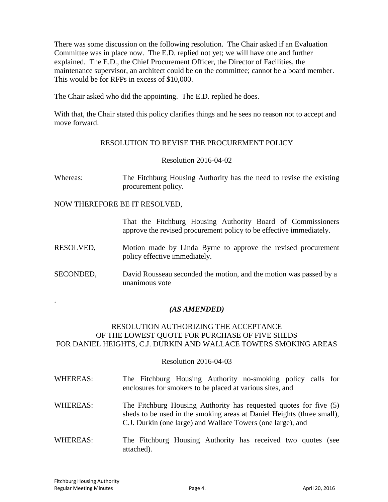There was some discussion on the following resolution. The Chair asked if an Evaluation Committee was in place now. The E.D. replied not yet; we will have one and further explained. The E.D., the Chief Procurement Officer, the Director of Facilities, the maintenance supervisor, an architect could be on the committee; cannot be a board member. This would be for RFPs in excess of \$10,000.

The Chair asked who did the appointing. The E.D. replied he does.

With that, the Chair stated this policy clarifies things and he sees no reason not to accept and move forward.

# RESOLUTION TO REVISE THE PROCUREMENT POLICY

# Resolution 2016-04-02

Whereas: The Fitchburg Housing Authority has the need to revise the existing procurement policy.

# NOW THEREFORE BE IT RESOLVED,

That the Fitchburg Housing Authority Board of Commissioners approve the revised procurement policy to be effective immediately*.*

- RESOLVED, Motion made by Linda Byrne to approve the revised procurement policy effective immediately.
- SECONDED, David Rousseau seconded the motion, and the motion was passed by a unanimous vote

# *(AS AMENDED)*

#### RESOLUTION AUTHORIZING THE ACCEPTANCE OF THE LOWEST QUOTE FOR PURCHASE OF FIVE SHEDS FOR DANIEL HEIGHTS, C.J. DURKIN AND WALLACE TOWERS SMOKING AREAS

#### Resolution 2016-04-03

- WHEREAS: The Fitchburg Housing Authority no-smoking policy calls for enclosures for smokers to be placed at various sites, and WHEREAS: The Fitchburg Housing Authority has requested quotes for five (5) sheds to be used in the smoking areas at Daniel Heights (three small), C.J. Durkin (one large) and Wallace Towers (one large), and
- WHEREAS: The Fitchburg Housing Authority has received two quotes (see attached).

.